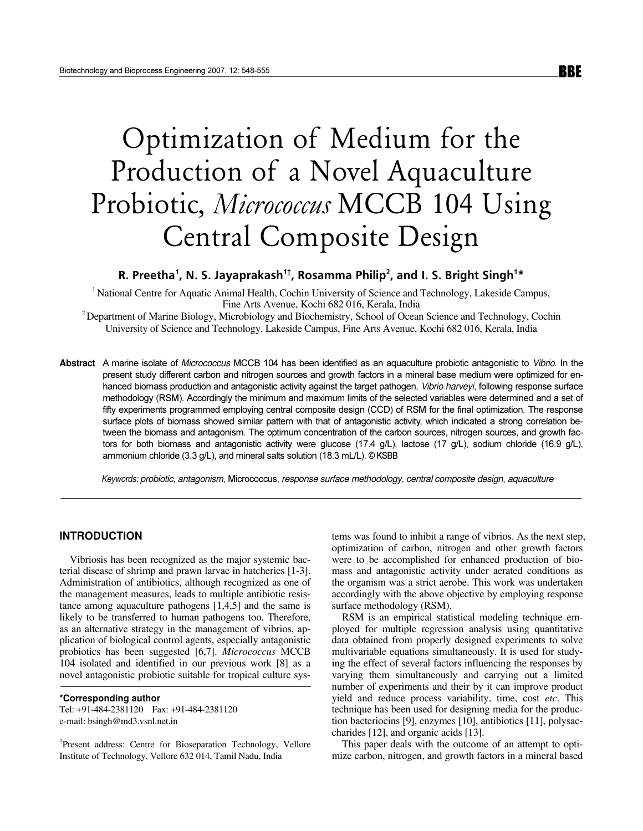# Optimization of Medium for the Production of a Novel Aquaculture Probiotic, Micrococcus MCCB 104 Using Central Composite Design

# R. Preetha<sup>1</sup>, N. S. Jayaprakash<sup>1†</sup>, Rosamma Philip<sup>2</sup>, and I. S. Bright Singh<sup>1\*</sup>

<sup>1</sup> National Centre for Aquatic Animal Health, Cochin University of Science and Technology, Lakeside Campus, Fine Arts Avenue, Kochi 682 016, Kerala, India

<sup>2</sup> Department of Marine Biology, Microbiology and Biochemistry, School of Ocean Science and Technology, Cochin University of Science and Technology, Lakeside Campus, Fine Arts Avenue, Kochi 682 016, Kerala, India

Abstract A marine isolate of Micrococcus MCCB 104 has been identified as an aquaculture probiotic antagonistic to Vibrio. In the present study different carbon and nitrogen sources and growth factors in a mineral base medium were optimized for enhanced biomass production and antagonistic activity against the target pathogen, Vibrio harveyi, following response surface methodology (RSM). Accordingly the minimum and maximum limits of the selected variables were determined and a set of fifty experiments programmed employing central composite design (CCD) of RSM for the final optimization. The response surface plots of biomass showed similar pattern with that of antagonistic activity, which indicated a strong correlation between the biomass and antagonism. The optimum concentration of the carbon sources, nitrogen sources, and growth factors for both biomass and antagonistic activity were glucose (17.4 g/L), lactose (17 g/L), sodium chloride (16.9 g/L), ammonium chloride (3.3 g/L), and mineral salts solution (18.3 mL/L). © KSBB

Keywords: probiotic, antagonism, Micrococcus, response surface methodology, central composite design, aquaculture

# **INTRODUCTION**

Vibriosis has been recognized as the major systemic bacterial disease of shrimp and prawn larvae in hatcheries [1-3]. Administration of antibiotics, although recognized as one of the management measures, leads to multiple antibiotic resistance among aquaculture pathogens  $[1,4,5]$  and the same is likely to be transferred to human pathogens too. Therefore, as an alternative strategy in the management of vibrios, application of biological control agents, especially antagonistic probiotics has been suggested [6,7]. Micrococcus MCCB 104 isolated and identified in our previous work [8] as a novel antagonistic probiotic suitable for tropical culture sys-

#### \*Corresponding author

Tel: +91-484-2381120 Fax: +91-484-2381120 e-mail: bsingh@md3.vsnl.net.in

<sup>†</sup>Present address: Centre for Bioseparation Technology, Vellore Institute of Technology, Vellore 632 014, Tamil Nadu, India

tems was found to inhibit a range of vibrios. As the next step, optimization of carbon, nitrogen and other growth factors were to be accomplished for enhanced production of biomass and antagonistic activity under aerated conditions as the organism was a strict aerobe. This work was undertaken accordingly with the above objective by employing response surface methodology (RSM).

RSM is an empirical statistical modeling technique employed for multiple regression analysis using quantitative data obtained from properly designed experiments to solve multivariable equations simultaneously. It is used for studying the effect of several factors influencing the responses by varying them simultaneously and carrying out a limited number of experiments and their by it can improve product yield and reduce process variability, time, cost etc. This technique has been used for designing media for the production bacteriocins [9], enzymes [10], antibiotics [11], polysaccharides [12], and organic acids [13].

This paper deals with the outcome of an attempt to optimize carbon, nitrogen, and growth factors in a mineral based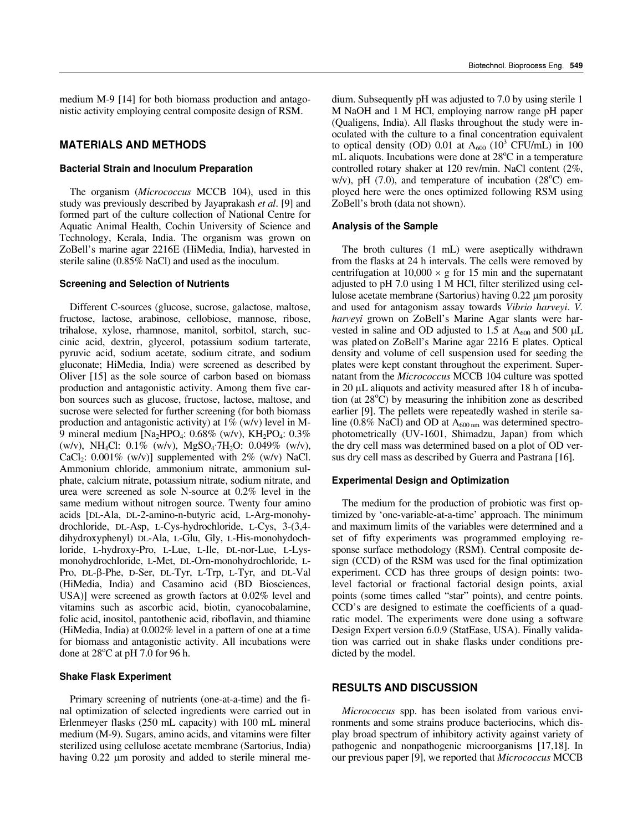medium M-9 [14] for both biomass production and antagonistic activity employing central composite design of RSM.

## MATERIALS AND METHODS

#### Bacterial Strain and Inoculum Preparation

The organism (Micrococcus MCCB 104), used in this study was previously described by Jayaprakash et al. [9] and formed part of the culture collection of National Centre for Aquatic Animal Health, Cochin University of Science and Technology, Kerala, India. The organism was grown on ZoBell's marine agar 2216E (HiMedia, India), harvested in sterile saline (0.85% NaCl) and used as the inoculum.

#### Screening and Selection of Nutrients

Different C-sources (glucose, sucrose, galactose, maltose, fructose, lactose, arabinose, cellobiose, mannose, ribose, trihalose, xylose, rhamnose, manitol, sorbitol, starch, succinic acid, dextrin, glycerol, potassium sodium tarterate, pyruvic acid, sodium acetate, sodium citrate, and sodium gluconate; HiMedia, India) were screened as described by Oliver [15] as the sole source of carbon based on biomass production and antagonistic activity. Among them five carbon sources such as glucose, fructose, lactose, maltose, and sucrose were selected for further screening (for both biomass production and antagonistic activity) at  $1\%$  (w/v) level in M-9 mineral medium [Na<sub>2</sub>HPO<sub>4</sub>:  $0.68\%$  (w/v), KH<sub>2</sub>PO<sub>4</sub>:  $0.3\%$ (w/v), NH<sub>4</sub>Cl:  $0.1\%$  (w/v), MgSO<sub>4</sub>.7H<sub>2</sub>O:  $0.049\%$  (w/v), CaCl<sub>2</sub>:  $0.001\%$  (w/v)] supplemented with 2% (w/v) NaCl. Ammonium chloride, ammonium nitrate, ammonium sulphate, calcium nitrate, potassium nitrate, sodium nitrate, and urea were screened as sole N-source at 0.2% level in the same medium without nitrogen source. Twenty four amino acids [DL-Ala, DL-2-amino-n-butyric acid, L-Arg-monohydrochloride, DL-Asp, L-Cys-hydrochloride, L-Cys, 3-(3,4 dihydroxyphenyl) DL-Ala, L-Glu, Gly, L-His-monohydochloride, L-hydroxy-Pro, L-Lue, L-Ile, DL-nor-Lue, L-Lysmonohydrochloride, L-Met, DL-Orn-monohydrochloride, L-Pro, DL-β-Phe, D-Ser, DL-Tyr, L-Trp, L-Tyr, and DL-Val (HiMedia, India) and Casamino acid (BD Biosciences, USA)] were screened as growth factors at 0.02% level and vitamins such as ascorbic acid, biotin, cyanocobalamine, folic acid, inositol, pantothenic acid, riboflavin, and thiamine (HiMedia, India) at 0.002% level in a pattern of one at a time for biomass and antagonistic activity. All incubations were done at  $28^{\circ}$ C at pH 7.0 for 96 h.

#### **Shake Flask Experiment**

Primary screening of nutrients (one-at-a-time) and the final optimization of selected ingredients were carried out in Erlenmeyer flasks (250 mL capacity) with 100 mL mineral medium (M-9). Sugars, amino acids, and vitamins were filter sterilized using cellulose acetate membrane (Sartorius, India) having 0.22 μm porosity and added to sterile mineral medium. Subsequently pH was adjusted to 7.0 by using sterile 1 M NaOH and 1 M HCl, employing narrow range pH paper (Qualigens, India). All flasks throughout the study were inoculated with the culture to a final concentration equivalent to optical density (OD) 0.01 at  $A_{600}$  (10<sup>3</sup> CFU/mL) in 100 mL aliquots. Incubations were done at  $28^{\circ}$ C in a temperature controlled rotary shaker at 120 rev/min. NaCl content (2%, w/v), pH  $(7.0)$ , and temperature of incubation  $(28^{\circ}C)$  employed here were the ones optimized following RSM using ZoBell's broth (data not shown).

#### Analysis of the Sample

The broth cultures (1 mL) were aseptically withdrawn from the flasks at 24 h intervals. The cells were removed by centrifugation at  $10,000 \times g$  for 15 min and the supernatant adjusted to pH 7.0 using 1 M HCl, filter sterilized using cellulose acetate membrane (Sartorius) having 0.22 μm porosity and used for antagonism assay towards Vibrio harveyi. V. harveyi grown on ZoBell's Marine Agar slants were harvested in saline and OD adjusted to 1.5 at  $A_{600}$  and 500  $\mu$ L was plated on ZoBell's Marine agar 2216 E plates. Optical density and volume of cell suspension used for seeding the plates were kept constant throughout the experiment. Supernatant from the Micrococcus MCCB 104 culture was spotted in 20 μL aliquots and activity measured after 18 h of incubation (at  $28^{\circ}$ C) by measuring the inhibition zone as described earlier [9]. The pellets were repeatedly washed in sterile saline (0.8% NaCl) and OD at  $A_{600 \text{ nm}}$  was determined spectrophotometrically (UV-1601, Shimadzu, Japan) from which the dry cell mass was determined based on a plot of OD versus dry cell mass as described by Guerra and Pastrana [16].

#### Experimental Design and Optimization

The medium for the production of probiotic was first optimized by 'one-variable-at-a-time' approach. The minimum and maximum limits of the variables were determined and a set of fifty experiments was programmed employing response surface methodology (RSM). Central composite design (CCD) of the RSM was used for the final optimization experiment. CCD has three groups of design points: twolevel factorial or fractional factorial design points, axial points (some times called "star" points), and centre points. CCD's are designed to estimate the coefficients of a quadratic model. The experiments were done using a software Design Expert version 6.0.9 (StatEase, USA). Finally validation was carried out in shake flasks under conditions predicted by the model.

### RESULTS AND DISCUSSION

Micrococcus spp. has been isolated from various environments and some strains produce bacteriocins, which display broad spectrum of inhibitory activity against variety of pathogenic and nonpathogenic microorganisms [17,18]. In our previous paper [9], we reported that Micrococcus MCCB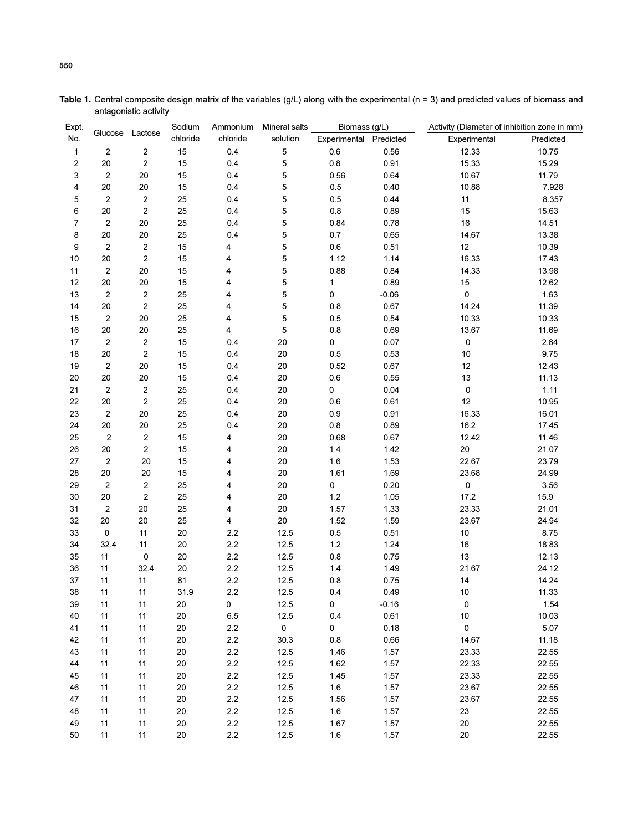| Expt.        | Glucose Lactose         |                  | Sodium   | Ammonium | Mineral salts       | Biomass (g/L) |           | Activity (Diameter of inhibition zone in mm) |           |
|--------------|-------------------------|------------------|----------|----------|---------------------|---------------|-----------|----------------------------------------------|-----------|
| No.          |                         |                  | chloride | chloride | solution            | Experimental  | Predicted | Experimental                                 | Predicted |
| $\mathbf{1}$ | $\sqrt{2}$              | $\boldsymbol{2}$ | 15       | 0.4      | 5                   | 0.6           | 0.56      | 12.33                                        | 10.75     |
| $\mathbf 2$  | $20\,$                  | $\mathbf 2$      | 15       | 0.4      | 5                   | $0.8\,$       | 0.91      | 15.33                                        | 15.29     |
| 3            | $\boldsymbol{2}$        | 20               | 15       | 0.4      | 5                   | 0.56          | 0.64      | 10.67                                        | 11.79     |
| 4            | 20                      | 20               | 15       | 0.4      | 5                   | $0.5\,$       | 0.40      | 10.88                                        | 7.928     |
| 5            | $\boldsymbol{2}$        | $\mathbf 2$      | 25       | 0.4      | 5                   | $0.5\,$       | 0.44      | 11                                           | 8.357     |
| 6            | $20\,$                  | $\mathbf 2$      | 25       | 0.4      | 5                   | $0.8\,$       | 0.89      | 15                                           | 15.63     |
| 7            | $\boldsymbol{2}$        | 20               | 25       | 0.4      | 5                   | 0.84          | 0.78      | 16                                           | 14.51     |
| 8            | 20                      | 20               | 25       | 0.4      | 5                   | 0.7           | 0.65      | 14.67                                        | 13.38     |
| 9            | $\boldsymbol{2}$        | $\boldsymbol{2}$ | 15       | 4        | 5                   | $0.6\,$       | 0.51      | 12                                           | 10.39     |
| 10           | 20                      | $\mathbf 2$      | 15       | 4        | 5                   | 1.12          | 1.14      | 16.33                                        | 17.43     |
| 11           | $\boldsymbol{2}$        | 20               | 15       | 4        | 5                   | 0.88          | 0.84      | 14.33                                        | 13.98     |
| 12           | 20                      | 20               | 15       | 4        | 5                   | 1             | 0.89      | 15                                           | 12.62     |
| 13           | $\overline{c}$          | $\overline{2}$   | 25       | 4        | 5                   | 0             | $-0.06$   | 0                                            | 1.63      |
| 14           | 20                      | $\boldsymbol{2}$ | 25       | 4        | 5                   | 0.8           | 0.67      | 14.24                                        | 11.39     |
| 15           | $\boldsymbol{2}$        | 20               | 25       | 4        | 5                   | 0.5           | 0.54      | 10.33                                        | 10.33     |
| 16           | 20                      | $20\,$           | 25       | 4        | 5                   | 0.8           | 0.69      | 13.67                                        | 11.69     |
| 17           | $\overline{c}$          | $\overline{2}$   | 15       | 0.4      | 20                  | 0             | 0.07      | 0                                            | 2.64      |
| 18           | $20\,$                  | $\mathbf 2$      | 15       | 0.4      | 20                  | $0.5\,$       | 0.53      | $10$                                         | 9.75      |
| 19           | $\boldsymbol{2}$        | 20               | 15       | 0.4      | 20                  | 0.52          | 0.67      | 12                                           | 12.43     |
| 20           | $20\,$                  | 20               | 15       | 0.4      | 20                  | $0.6\,$       | 0.55      | 13                                           | 11.13     |
| 21           | $\sqrt{2}$              | $\mathbf 2$      | 25       | 0.4      | 20                  | 0             | 0.04      | $\pmb{0}$                                    | 1.11      |
| 22           | 20                      | $\boldsymbol{2}$ | 25       | 0.4      | 20                  | 0.6           | 0.61      | 12                                           | 10.95     |
| 23           | $\sqrt{2}$              | 20               | 25       | 0.4      | 20                  | 0.9           | 0.91      | 16.33                                        | 16.01     |
| 24           | $20\,$                  | 20               | 25       | 0.4      | 20                  | 0.8           | 0.89      | 16.2                                         | 17.45     |
| 25           | $\overline{\mathbf{c}}$ | $\mathbf 2$      | 15       | 4        | 20                  | 0.68          | 0.67      | 12.42                                        | 11.46     |
| 26           | $20\,$                  | $\boldsymbol{2}$ | 15       | 4        | 20                  | 1.4           | 1.42      | 20                                           | 21.07     |
| 27           | 2                       | 20               | 15       | 4        | 20                  | $1.6$         | 1.53      | 22.67                                        | 23.79     |
| 28           | $20\,$                  | 20               | 15       | 4        | 20                  | 1.61          | 1.69      | 23.68                                        | 24.99     |
| 29           | $\boldsymbol{2}$        | $\boldsymbol{2}$ | 25       | 4        | 20                  | $\mathsf 0$   | 0.20      | 0                                            | 3.56      |
| 30           | 20                      | $\boldsymbol{2}$ | 25       | 4        | 20                  | $1.2\,$       | 1.05      | 17.2                                         | 15.9      |
| 31           | $\overline{2}$          | 20               | 25       | 4        | 20                  | 1.57          | 1.33      | 23.33                                        | 21.01     |
| 32           | 20                      | 20               | 25       | 4        | 20                  | 1.52          | 1.59      | 23.67                                        | 24.94     |
| 33           | $\mathsf 0$             | 11               | 20       | $2.2\,$  | 12.5                | $0.5\,$       | 0.51      | 10                                           | 8.75      |
| 34           | 32.4                    | 11               | 20       | $2.2\,$  | 12.5                | $1.2$         | 1.24      | 16                                           | 18.83     |
| 35           | 11                      | $\pmb{0}$        | 20       | $2.2\,$  | 12.5                | $0.8\,$       | 0.75      | 13                                           | 12.13     |
| 36           | 11                      | 32.4             | 20       | $2.2\,$  | 12.5                | 1.4           | 1.49      | 21.67                                        | 24.12     |
| 37           | 11                      | 11               | 81       | 2.2      | 12.5                | 0.8           | 0.75      | 14                                           | 14.24     |
| 38           | 11                      | 11               | 31.9     | 2.2      | 12.5                | 0.4           | 0.49      | $10$                                         | 11.33     |
| 39           | 11                      | 11               | 20       | 0        | 12.5                | 0             | $-0.16$   | $\mathsf 0$                                  | 1.54      |
| 40           | 11                      | 11               | 20       | $6.5\,$  | 12.5                | 0.4           | 0.61      | 10                                           | 10.03     |
| 41           | 11                      | 11               | 20       | $2.2\,$  | $\mathsf{O}\xspace$ | $\mathsf{O}$  | 0.18      | $\mathsf 0$                                  | 5.07      |
| 42           | 11                      | 11               | 20       | $2.2\,$  | 30.3                | 0.8           | 0.66      | 14.67                                        | 11.18     |
| 43           | 11                      | 11               | 20       | $2.2\,$  | 12.5                | 1.46          | 1.57      | 23.33                                        | 22.55     |
| 44           | 11                      | 11               | 20       | $2.2\,$  | 12.5                | 1.62          | 1.57      | 22.33                                        | 22.55     |
| 45           | 11                      | 11               | 20       | $2.2\,$  | 12.5                | 1.45          | 1.57      | 23.33                                        | 22.55     |
| 46           | 11                      | 11               | 20       | $2.2\,$  | 12.5                | $1.6\,$       | 1.57      | 23.67                                        | 22.55     |
| 47           | 11                      | 11               | 20       | $2.2\,$  | 12.5                | 1.56          | 1.57      | 23.67                                        | 22.55     |
| 48           | 11                      | 11               | 20       | $2.2\,$  | 12.5                | $1.6\,$       | 1.57      | 23                                           | 22.55     |
| 49           | 11                      | 11               | 20       | $2.2\,$  | 12.5                | 1.67          | 1.57      | 20                                           | 22.55     |
| 50           | 11                      | 11               | 20       | $2.2\,$  | 12.5                | 1.6           | 1.57      | 20                                           | 22.55     |

Table 1. Central composite design matrix of the variables (g/L) along with the experimental (n = 3) and predicted values of biomass and antagonistic activity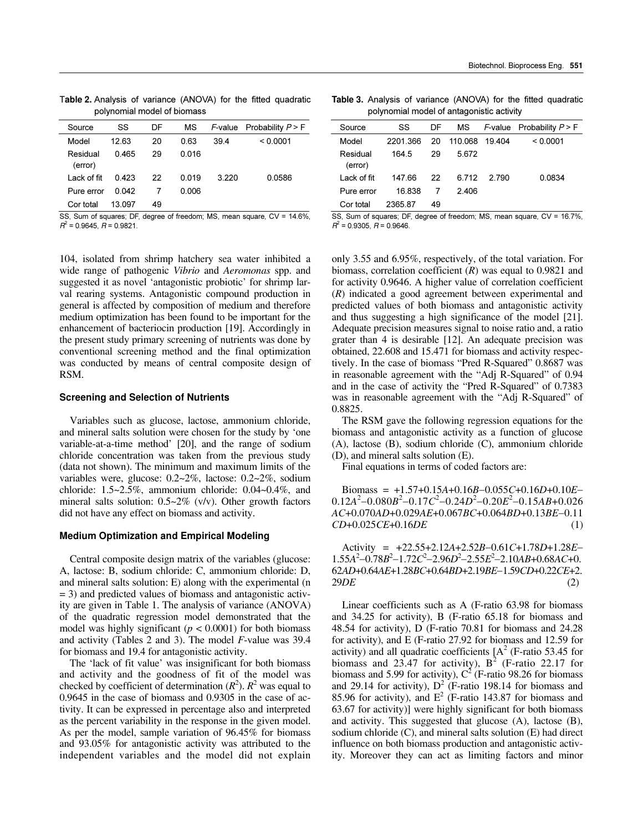Table 2. Analysis of variance (ANOVA) for the fitted quadratic polynomial model of biomass

| Source              | SS     | DF | МS    |      | <i>F</i> -value Probability $P > F$ |
|---------------------|--------|----|-------|------|-------------------------------------|
| Model               | 12.63  | 20 | 0.63  | 39.4 | < 0.0001                            |
| Residual<br>(error) | 0465   | 29 | 0.016 |      |                                     |
| I ack of fit        | 0423   | 22 | 0.019 | 3220 | 0.0586                              |
| Pure error          | 0.042  |    | 0.006 |      |                                     |
| Cor total           | 13 097 | 49 |       |      |                                     |

SS, Sum of squares; DF, degree of freedom; MS, mean square, CV = 14.6%,  $B^2 = 0.9645$   $B = 0.9821$ 

104, isolated from shrimp hatchery sea water inhibited a wide range of pathogenic Vibrio and Aeromonas spp. and suggested it as novel 'antagonistic probiotic' for shrimp larval rearing systems. Antagonistic compound production in general is affected by composition of medium and therefore medium optimization has been found to be important for the enhancement of bacteriocin production [19]. Accordingly in the present study primary screening of nutrients was done by conventional screening method and the final optimization was conducted by means of central composite design of RSM.

#### **Screening and Selection of Nutrients**

Variables such as glucose, lactose, ammonium chloride, and mineral salts solution were chosen for the study by 'one variable-at-a-time method' [20], and the range of sodium chloride concentration was taken from the previous study (data not shown). The minimum and maximum limits of the variables were, glucose:  $0.2 \sim 2\%$ , lactose:  $0.2 \sim 2\%$ , sodium chloride:  $1.5 \sim 2.5\%$ , ammonium chloride:  $0.04 \sim 0.4\%$ , and mineral salts solution:  $0.5 \sim 2\%$  (v/v). Other growth factors did not have any effect on biomass and activity.

#### **Medium Optimization and Empirical Modeling**

Central composite design matrix of the variables (glucose: A, lactose: B, sodium chloride: C, ammonium chloride: D, and mineral salts solution: E) along with the experimental (n  $=$  3) and predicted values of biomass and antagonistic activity are given in Table 1. The analysis of variance (ANOVA) of the quadratic regression model demonstrated that the model was highly significant ( $p < 0.0001$ ) for both biomass and activity (Tables 2 and 3). The model  $F$ -value was 39.4 for biomass and 19.4 for antagonistic activity.

The 'lack of fit value' was insignificant for both biomass and activity and the goodness of fit of the model was checked by coefficient of determination  $(R^2)$ .  $R^2$  was equal to  $0.9645$  in the case of biomass and  $0.9305$  in the case of activity. It can be expressed in percentage also and interpreted as the percent variability in the response in the given model. As per the model, sample variation of 96.45% for biomass and 93.05% for antagonistic activity was attributed to the independent variables and the model did not explain

Table 3. Analysis of variance (ANOVA) for the fitted quadratic polynomial model of antagonistic activity

| Source              | SS      | DF | MS.     |       | $F$ -value Probability $P > F$ |
|---------------------|---------|----|---------|-------|--------------------------------|
| Model               | 2201366 | 20 | 110 068 | 19404 | < 0.0001                       |
| Residual<br>(error) | 164.5   | 29 | 5672    |       |                                |
| I ack of fit        | 147 66  | 22 | 6.712   | 2 790 | 0.0834                         |
| Pure error          | 16838   |    | 2406    |       |                                |
| Cor total           | 236587  | 49 |         |       |                                |

SS, Sum of squares; DF, degree of freedom; MS, mean square, CV = 16.7%,  $B^2 = 0.9305$   $B = 0.9646$ 

only 3.55 and 6.95%, respectively, of the total variation. For biomass, correlation coefficient  $(R)$  was equal to 0.9821 and for activity 0.9646. A higher value of correlation coefficient  $(R)$  indicated a good agreement between experimental and predicted values of both biomass and antagonistic activity and thus suggesting a high significance of the model [21]. Adequate precision measures signal to noise ratio and, a ratio grater than 4 is desirable [12]. An adequate precision was obtained, 22.608 and 15.471 for biomass and activity respectively. In the case of biomass "Pred R-Squared" 0.8687 was in reasonable agreement with the "Adj R-Squared" of 0.94 and in the case of activity the "Pred R-Squared" of 0.7383 was in reasonable agreement with the "Adj R-Squared" of 0.8825.

The RSM gave the following regression equations for the biomass and antagonistic activity as a function of glucose (A), lactose (B), sodium chloride (C), ammonium chloride (D), and mineral salts solution (E).

Final equations in terms of coded factors are:

Biomass =  $+1.57+0.15A+0.16B-0.055C+0.16D+0.10E 0.12A<sup>2</sup>-0.080B<sup>2</sup>-0.17C<sup>2</sup>-0.24D<sup>2</sup>-0.20E<sup>2</sup>-0.15AB+0.026$  $AC+0.070AD+0.029AE+0.067BC+0.064BD+0.13BE-0.11$ CD+0.025CE+0.16DE  $(1)$ 

Activity =  $+22.55+2.12A+2.52B-0.61C+1.78D+1.28E 1.55A^{2}-0.78B^{2}-1.72C^{2}-2.96D^{2}-2.55E^{2}-2.10AB+0.68AC+0.$ 62AD+0.64AE+1.28BC+0.64BD+2.19BE-1.59CD+0.22CE+2.  $29DE$  $(2)$ 

Linear coefficients such as A (F-ratio 63.98 for biomass and 34.25 for activity), B (F-ratio 65.18 for biomass and 48.54 for activity), D (F-ratio 70.81 for biomass and 24.28 for activity), and E (F-ratio 27.92 for biomass and 12.59 for activity) and all quadratic coefficients  $[A<sup>2</sup>$  (F-ratio 53.45 for biomass and 23.47 for activity),  $B^2$  (F-ratio 22.17 for biomass and 5.99 for activity),  $C^2$  (F-ratio 98.26 for biomass and 29.14 for activity),  $D^2$  (F-ratio 198.14 for biomass and 85.96 for activity), and  $E^2$  (F-ratio 143.87 for biomass and 63.67 for activity)] were highly significant for both biomass and activity. This suggested that glucose (A), lactose (B), sodium chloride (C), and mineral salts solution (E) had direct influence on both biomass production and antagonistic activity. Moreover they can act as limiting factors and minor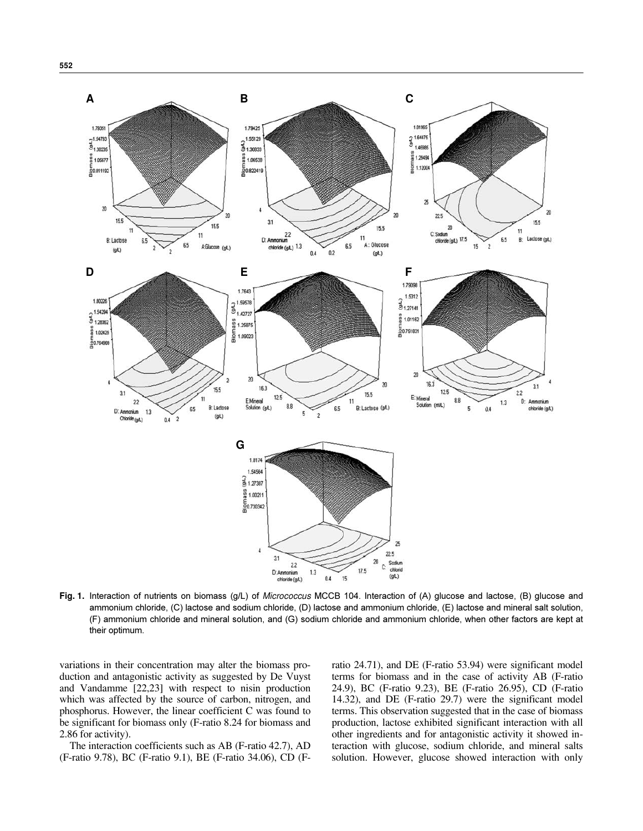

Fig. 1. Interaction of nutrients on biomass (g/L) of Micrococcus MCCB 104. Interaction of (A) glucose and lactose. (B) glucose and ammonium chloride, (C) lactose and sodium chloride, (D) lactose and ammonium chloride, (E) lactose and mineral salt solution, (F) ammonium chloride and mineral solution, and (G) sodium chloride and ammonium chloride, when other factors are kept at their optimum.

variations in their concentration may alter the biomass production and antagonistic activity as suggested by De Vuyst and Vandamme [22,23] with respect to nisin production which was affected by the source of carbon, nitrogen, and phosphorus. However, the linear coefficient C was found to be significant for biomass only (F-ratio 8.24 for biomass and 2.86 for activity).

The interaction coefficients such as AB (F-ratio 42.7), AD (F-ratio 9.78), BC (F-ratio 9.1), BE (F-ratio 34.06), CD (F- ratio 24.71), and DE (F-ratio 53.94) were significant model terms for biomass and in the case of activity AB (F-ratio 24.9), BC (F-ratio 9.23), BE (F-ratio 26.95), CD (F-ratio 14.32), and DE (F-ratio 29.7) were the significant model terms. This observation suggested that in the case of biomass production, lactose exhibited significant interaction with all other ingredients and for antagonistic activity it showed interaction with glucose, sodium chloride, and mineral salts solution. However, glucose showed interaction with only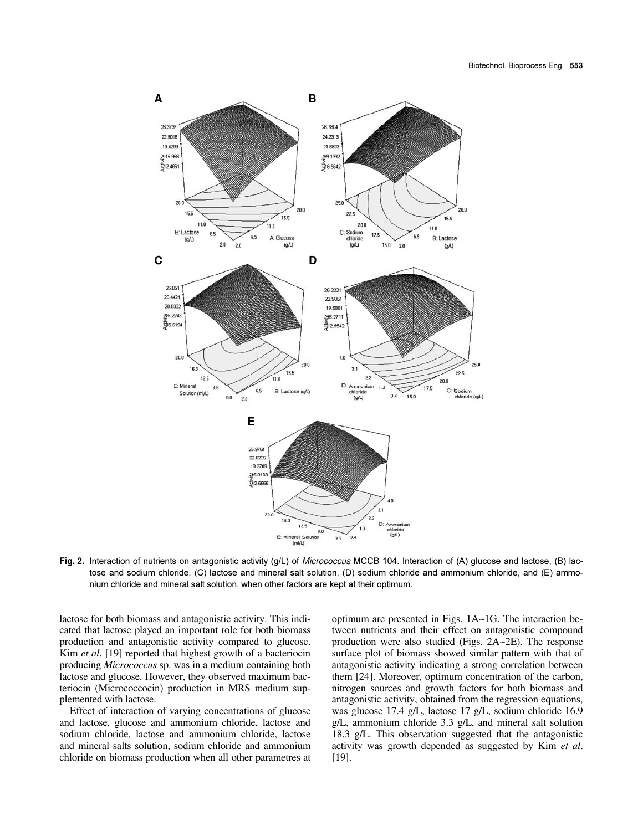

Fig. 2. Interaction of nutrients on antagonistic activity (g/L) of Micrococcus MCCB 104. Interaction of (A) glucose and lactose, (B) lactose and sodium chloride, (C) lactose and mineral salt solution, (D) sodium chloride and ammonium chloride, and (E) ammonium chloride and mineral salt solution, when other factors are kept at their optimum.

lactose for both biomass and antagonistic activity. This indicated that lactose played an important role for both biomass production and antagonistic activity compared to glucose. Kim et al. [19] reported that highest growth of a bacteriocin producing *Micrococcus* sp. was in a medium containing both lactose and glucose. However, they observed maximum bacteriocin (Micrococcocin) production in MRS medium supplemented with lactose.

Effect of interaction of varying concentrations of glucose and lactose, glucose and ammonium chloride, lactose and sodium chloride, lactose and ammonium chloride, lactose and mineral salts solution, sodium chloride and ammonium chloride on biomass production when all other parametres at optimum are presented in Figs.  $1A~1G$ . The interaction between nutrients and their effect on antagonistic compound production were also studied (Figs.  $2A~2E$ ). The response surface plot of biomass showed similar pattern with that of antagonistic activity indicating a strong correlation between them [24]. Moreover, optimum concentration of the carbon, nitrogen sources and growth factors for both biomass and antagonistic activity, obtained from the regression equations, was glucose 17.4 g/L, lactose 17 g/L, sodium chloride 16.9  $g/L$ , ammonium chloride 3.3  $g/L$ , and mineral salt solution 18.3 g/L. This observation suggested that the antagonistic activity was growth depended as suggested by Kim et al.  $[19]$ .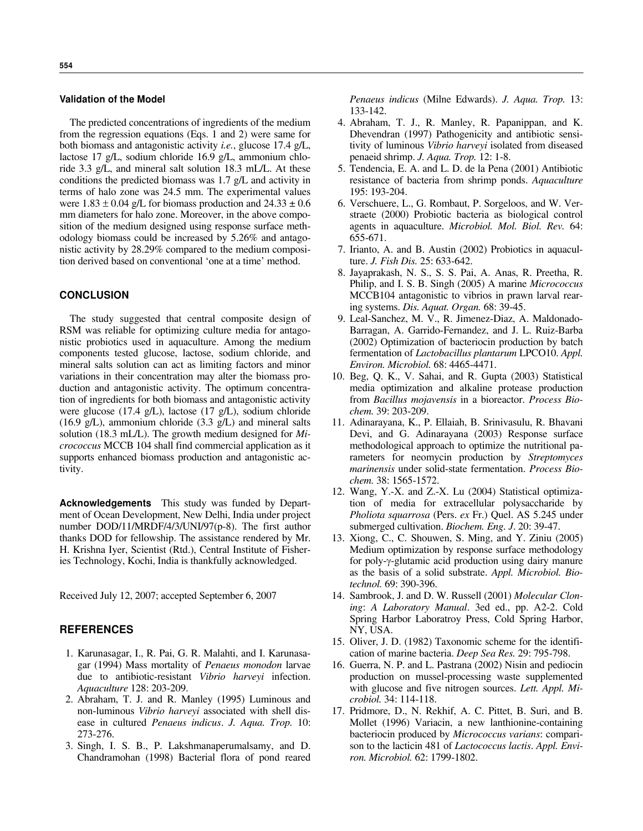#### **Validation of the Model**

The predicted concentrations of ingredients of the medium from the regression equations (Eqs. 1 and 2) were same for both biomass and antagonistic activity *i.e.*, glucose 17.4 g/L, lactose 17 g/L, sodium chloride 16.9 g/L, ammonium chloride 3.3 g/L, and mineral salt solution 18.3 mL/L. At these conditions the predicted biomass was  $1.7$  g/L and activity in terms of halo zone was 24.5 mm. The experimental values were  $1.83 \pm 0.04$  g/L for biomass production and  $24.33 \pm 0.6$ mm diameters for halo zone. Moreover, in the above composition of the medium designed using response surface methodology biomass could be increased by 5.26% and antagonistic activity by 28.29% compared to the medium composition derived based on conventional 'one at a time' method.

## **CONCLUSION**

The study suggested that central composite design of RSM was reliable for optimizing culture media for antagonistic probiotics used in aquaculture. Among the medium components tested glucose, lactose, sodium chloride, and mineral salts solution can act as limiting factors and minor variations in their concentration may alter the biomass production and antagonistic activity. The optimum concentration of ingredients for both biomass and antagonistic activity were glucose  $(17.4 \text{ g/L})$ , lactose  $(17 \text{ g/L})$ , sodium chloride  $(16.9 \text{ g/L})$ , ammonium chloride  $(3.3 \text{ g/L})$  and mineral salts solution (18.3 mL/L). The growth medium designed for  $Mi$ *crococcus* MCCB 104 shall find commercial application as it supports enhanced biomass production and antagonistic activity.

**Acknowledgements** This study was funded by Department of Ocean Development, New Delhi, India under project number DOD/11/MRDF/4/3/UNI/97(p-8). The first author thanks DOD for fellowship. The assistance rendered by Mr. H. Krishna Iyer, Scientist (Rtd.), Central Institute of Fisheries Technology, Kochi, India is thankfully acknowledged.

Received July 12, 2007; accepted September 6, 2007

## **REFERENCES**

- 1. Karunasagar, I., R. Pai, G. R. Malahti, and I. Karunasagar (1994) Mass mortality of Penaeus monodon larvae due to antibiotic-resistant Vibrio harveyi infection. Aquaculture 128: 203-209.
- 2. Abraham, T. J. and R. Manley (1995) Luminous and non-luminous Vibrio harveyi associated with shell disease in cultured Penaeus indicus. J. Aqua. Trop. 10: 273-276.
- 3. Singh, I. S. B., P. Lakshmanaperumalsamy, and D. Chandramohan (1998) Bacterial flora of pond reared

Penaeus indicus (Milne Edwards). J. Aqua. Trop. 13: 133-142.

- 4. Abraham, T. J., R. Manley, R. Papanippan, and K. Dhevendran (1997) Pathogenicity and antibiotic sensitivity of luminous Vibrio harveyi isolated from diseased penaeid shrimp. *J. Aqua. Trop.* 12: 1-8.
- 5. Tendencia, E. A. and L. D. de la Pena (2001) Antibiotic resistance of bacteria from shrimp ponds. Aquaculture 195: 193-204.
- 6. Verschuere, L., G. Rombaut, P. Sorgeloos, and W. Verstraete (2000) Probiotic bacteria as biological control agents in aquaculture. Microbiol. Mol. Biol. Rev. 64: 655-671.
- 7. Irianto, A. and B. Austin (2002) Probiotics in aquaculture. J. Fish Dis. 25: 633-642.
- 8. Jayaprakash, N. S., S. S. Pai, A. Anas, R. Preetha, R. Philip, and I. S. B. Singh (2005) A marine Micrococcus MCCB104 antagonistic to vibrios in prawn larval rearing systems. Dis. Aquat. Organ. 68: 39-45.
- 9. Leal-Sanchez, M. V., R. Jimenez-Diaz, A. Maldonado-Barragan, A. Garrido-Fernandez, and J. L. Ruiz-Barba (2002) Optimization of bacteriocin production by batch fermentation of Lactobacillus plantarum LPCO10. Appl. Environ. Microbiol. 68: 4465-4471.
- 10. Beg, Q. K., V. Sahai, and R. Gupta (2003) Statistical media optimization and alkaline protease production from Bacillus mojavensis in a bioreactor. Process Biochem. 39: 203-209.
- 11. Adinarayana, K., P. Ellaiah, B. Srinivasulu, R. Bhavani Devi, and G. Adinarayana (2003) Response surface methodological approach to optimize the nutritional parameters for neomycin production by Streptomyces *marinensis* under solid-state fermentation. *Process Bio*chem. 38: 1565-1572.
- 12. Wang, Y.-X. and Z.-X. Lu (2004) Statistical optimization of media for extracellular polysaccharide by Pholiota squarrosa (Pers. ex Fr.) Quel. AS 5.245 under submerged cultivation. *Biochem. Eng. J.* 20: 39-47.
- 13. Xiong, C., C. Shouwen, S. Ming, and Y. Ziniu (2005) Medium optimization by response surface methodology for poly-y-glutamic acid production using dairy manure as the basis of a solid substrate. Appl. Microbiol. Biotechnol. 69: 390-396.
- 14. Sambrook, J. and D. W. Russell (2001) Molecular Cloning: A Laboratory Manual. 3ed ed., pp. A2-2. Cold Spring Harbor Laboratroy Press, Cold Spring Harbor, NY, USA.
- 15. Oliver, J. D. (1982) Taxonomic scheme for the identification of marine bacteria. Deep Sea Res. 29: 795-798.
- 16. Guerra, N. P. and L. Pastrana (2002) Nisin and pediocin production on mussel-processing waste supplemented with glucose and five nitrogen sources. Lett. Appl. Microbiol. 34: 114-118.
- 17. Pridmore, D., N. Rekhif, A. C. Pittet, B. Suri, and B. Mollet (1996) Variacin, a new lanthionine-containing bacteriocin produced by Micrococcus varians: comparison to the lacticin 481 of *Lactococcus lactis*. Appl. Environ. Microbiol. 62: 1799-1802.